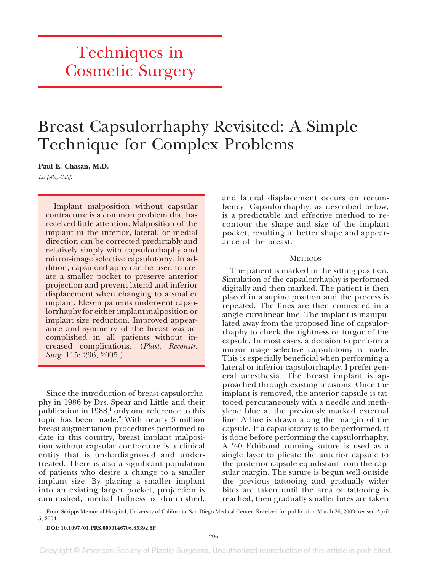# Techniques in Cosmetic Surgery

## Breast Capsulorrhaphy Revisited: A Simple Technique for Complex Problems

**Paul E. Chasan, M.D.**

*La Jolla, Calif.*

Implant malposition without capsular contracture is a common problem that has received little attention. Malposition of the implant in the inferior, lateral, or medial direction can be corrected predictably and relatively simply with capsulorrhaphy and mirror-image selective capsulotomy. In addition, capsulorrhaphy can be used to create a smaller pocket to preserve anterior projection and prevent lateral and inferior displacement when changing to a smaller implant. Eleven patients underwent capsulorrhaphy for either implant malposition or implant size reduction. Improved appearance and symmetry of the breast was accomplished in all patients without increased complications. (*Plast. Reconstr. Surg.* 115: 296, 2005.)

Since the introduction of breast capsulorrhaphy in 1986 by Drs. Spear and Little and their publication in  $1988$ ,<sup>1</sup> only one reference to this topic has been made.2 With nearly 3 million breast augmentation procedures performed to date in this country, breast implant malposition without capsular contracture is a clinical entity that is underdiagnosed and undertreated. There is also a significant population of patients who desire a change to a smaller implant size. By placing a smaller implant into an existing larger pocket, projection is diminished, medial fullness is diminished,

and lateral displacement occurs on recumbency. Capsulorrhaphy, as described below, is a predictable and effective method to recontour the shape and size of the implant pocket, resulting in better shape and appearance of the breast.

#### **METHODS**

The patient is marked in the sitting position. Simulation of the capsulorrhaphy is performed digitally and then marked. The patient is then placed in a supine position and the process is repeated. The lines are then connected in a single curvilinear line. The implant is manipulated away from the proposed line of capsulorrhaphy to check the tightness or turgor of the capsule. In most cases, a decision to perform a mirror-image selective capsulotomy is made. This is especially beneficial when performing a lateral or inferior capsulorrhaphy. I prefer general anesthesia. The breast implant is approached through existing incisions. Once the implant is removed, the anterior capsule is tattooed percutaneously with a needle and methylene blue at the previously marked external line. A line is drawn along the margin of the capsule. If a capsulotomy is to be performed, it is done before performing the capsulorrhaphy. A 2-0 Ethibond running suture is used as a single layer to plicate the anterior capsule to the posterior capsule equidistant from the capsular margin. The suture is begun well outside the previous tattooing and gradually wider bites are taken until the area of tattooing is reached, then gradually smaller bites are taken

From Scripps Memorial Hospital, University of California, San Diego Medical Center. Received for publication March 26, 2003; revised April 5, 2004.

**DOI: 10.1097/01.PRS.0000146706.85392.6F**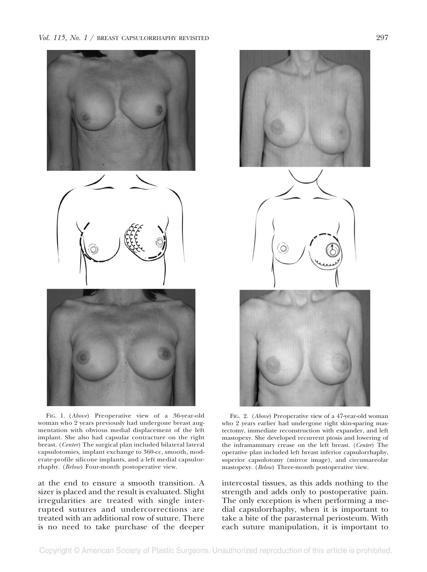*Vol. 115, No. 1* / BREAST CAPSULORRHAPHY REVISITED 297







at the end to ensure a smooth transition. A sizer is placed and the result is evaluated. Slight irregularities are treated with single interrupted sutures and undercorrections are treated with an additional row of suture. There is no need to take purchase of the deeper

rhaphy. (*Below*) Four-month postoperative view.



FIG. 2. (*Above*) Preoperative view of a 47-year-old woman who 2 years earlier had undergone right skin-sparing mastectomy, immediate reconstruction with expander, and left mastopexy. She developed recurrent ptosis and lowering of the inframammary crease on the left breast. (*Center*) The operative plan included left breast inferior capsulorrhaphy, superior capsulotomy (mirror image), and circumareolar mastopexy. (*Below*) Three-month postoperative view.

intercostal tissues, as this adds nothing to the strength and adds only to postoperative pain. The only exception is when performing a medial capsulorrhaphy, when it is important to take a bite of the parasternal periosteum. With each suture manipulation, it is important to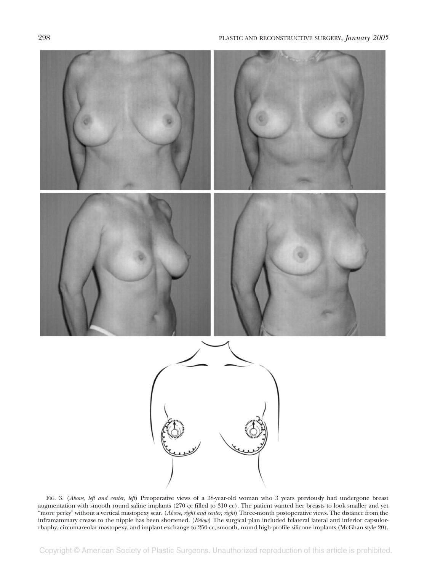

FIG. 3. (*Above, left and center, left*) Preoperative views of a 38-year-old woman who 3 years previously had undergone breast augmentation with smooth round saline implants (270 cc filled to 310 cc). The patient wanted her breasts to look smaller and yet "more perky" without a vertical mastopexy scar. (*Above, right and center, right*) Three-month postoperative views. The distance from the inframammary crease to the nipple has been shortened. (*Below*) The surgical plan included bilateral lateral and inferior capsulorrhaphy, circumareolar mastopexy, and implant exchange to 250-cc, smooth, round high-profile silicone implants (McGhan style 20).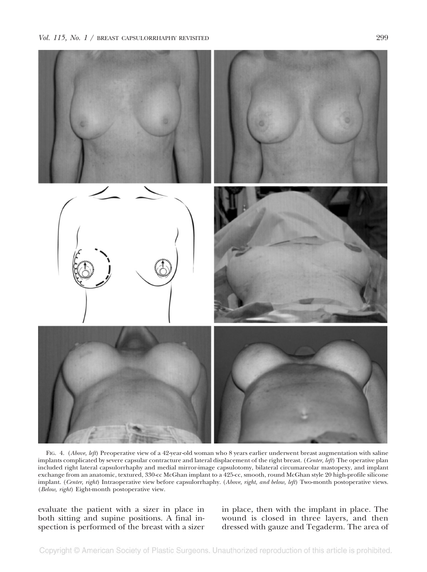

FIG. 4. (*Above, left*) Preoperative view of a 42-year-old woman who 8 years earlier underwent breast augmentation with saline implants complicated by severe capsular contracture and lateral displacement of the right breast. (*Center, left*) The operative plan included right lateral capsulorrhaphy and medial mirror-image capsulotomy, bilateral circumareolar mastopexy, and implant exchange from an anatomic, textured, 330-cc McGhan implant to a 425-cc, smooth, round McGhan style 20 high-profile silicone implant. (*Center, right*) Intraoperative view before capsulorrhaphy. (*Above, right, and below, left*) Two-month postoperative views. (*Below, right*) Eight-month postoperative view.

evaluate the patient with a sizer in place in both sitting and supine positions. A final inspection is performed of the breast with a sizer in place, then with the implant in place. The wound is closed in three layers, and then dressed with gauze and Tegaderm. The area of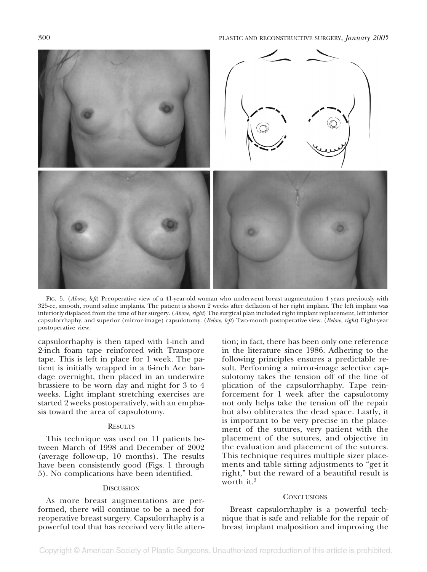

FIG. 5. (*Above, left*) Preoperative view of a 41-year-old woman who underwent breast augmentation 4 years previously with 325-cc, smooth, round saline implants. The patient is shown 2 weeks after deflation of her right implant. The left implant was inferiorly displaced from the time of her surgery. (*Above, right*) The surgical plan included right implant replacement, left inferior capsulorrhaphy, and superior (mirror-image) capsulotomy. (*Below, left*) Two-month postoperative view. (*Below, right*) Eight-year postoperative view.

capsulorrhaphy is then taped with 1-inch and 2-inch foam tape reinforced with Transpore tape. This is left in place for 1 week. The patient is initially wrapped in a 6-inch Ace bandage overnight, then placed in an underwire brassiere to be worn day and night for 3 to 4 weeks. Light implant stretching exercises are started 2 weeks postoperatively, with an emphasis toward the area of capsulotomy.

### **RESULTS**

This technique was used on 11 patients between March of 1998 and December of 2002 (average follow-up, 10 months). The results have been consistently good (Figs. 1 through 5). No complications have been identified.

#### **DISCUSSION**

As more breast augmentations are performed, there will continue to be a need for reoperative breast surgery. Capsulorrhaphy is a powerful tool that has received very little attention; in fact, there has been only one reference in the literature since 1986. Adhering to the following principles ensures a predictable result. Performing a mirror-image selective capsulotomy takes the tension off of the line of plication of the capsulorrhaphy. Tape reinforcement for 1 week after the capsulotomy not only helps take the tension off the repair but also obliterates the dead space. Lastly, it is important to be very precise in the placement of the sutures, very patient with the placement of the sutures, and objective in the evaluation and placement of the sutures. This technique requires multiple sizer placements and table sitting adjustments to "get it right," but the reward of a beautiful result is worth it.<sup>3</sup>

#### **CONCLUSIONS**

Breast capsulorrhaphy is a powerful technique that is safe and reliable for the repair of breast implant malposition and improving the